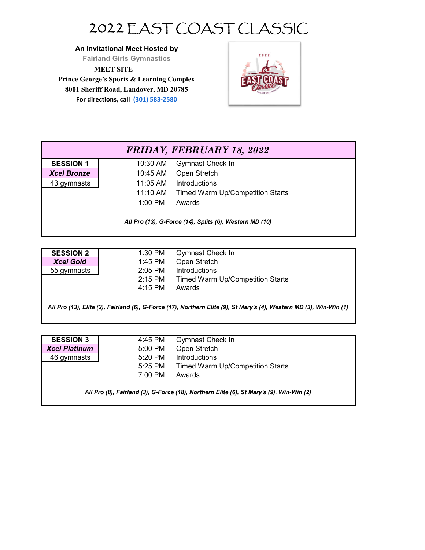## 2022 EAST COAST CLASSIC

**An Invitational Meet Hosted by**

**Fairland Girls Gymnastics**

**MEET SITE**

**Prince George's Sports & Learning Complex 8001 Sheriff Road, Landover, MD 20785 For directions, call (301) 583‐2580**



## **SESSION 1** 10:30 AM Gymnast Check In *Xcel Bronze* 10:45 AM Open Stretch 43 gymnasts 11:05 AM Introductions 11:10 AM Timed Warm Up/Competition Starts 1:00 PM Awards *FRIDAY, FEBRUARY 18, 2022 All Pro (13), G-Force (14), Splits (6), Western MD (10)*

| <b>SESSION 2</b> | 1:30 PM   | Gymnast Check In                 |
|------------------|-----------|----------------------------------|
| <b>Xcel Gold</b> | 1:45 PM   | Open Stretch                     |
| 55 gymnasts      | $2:05$ PM | Introductions                    |
|                  | $2:15$ PM | Timed Warm Up/Competition Starts |
|                  | 4:15 PM   | Awards                           |
|                  |           |                                  |

*All Pro (13), Elite (2), Fairland (6), G-Force (17), Northern Elite (9), St Mary's (4), Western MD (3), Win-Win (1)*

| <b>SESSION 3</b>                                                                        | 4:45 PM           | Gymnast Check In                        |  |  |
|-----------------------------------------------------------------------------------------|-------------------|-----------------------------------------|--|--|
| <b>Xcel Platinum</b>                                                                    | 5:00 PM           | Open Stretch                            |  |  |
| 46 gymnasts                                                                             | 5:20 PM           | <b>Introductions</b>                    |  |  |
|                                                                                         | 5:25 PM           | <b>Timed Warm Up/Competition Starts</b> |  |  |
|                                                                                         | $7:00 \text{ PM}$ | Awards                                  |  |  |
| All Pro (8), Fairland (3), G-Force (18), Northern Elite (6), St Mary's (9), Win-Win (2) |                   |                                         |  |  |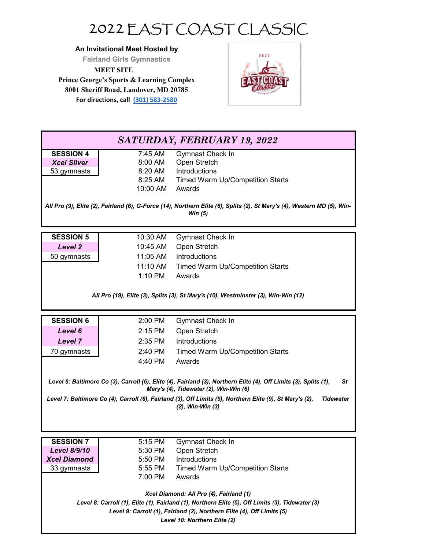## 2022 EAST COAST CLASSIC

**An Invitational Meet Hosted by**

**Fairland Girls Gymnastics**

**MEET SITE**

**Prince George's Sports & Learning Complex 8001 Sheriff Road, Landover, MD 20785 For directions, call (301) 583‐2580**



| SATURDAY, FEBRUARY 19, 2022             |                                                                                                                                                                            |                                                                                                                                      |  |  |  |
|-----------------------------------------|----------------------------------------------------------------------------------------------------------------------------------------------------------------------------|--------------------------------------------------------------------------------------------------------------------------------------|--|--|--|
| <b>SESSION 4</b>                        | 7:45 AM                                                                                                                                                                    | Gymnast Check In                                                                                                                     |  |  |  |
| <b>Xcel Silver</b>                      | 8:00 AM                                                                                                                                                                    | Open Stretch                                                                                                                         |  |  |  |
| 53 gymnasts                             | 8:20 AM                                                                                                                                                                    | Introductions                                                                                                                        |  |  |  |
|                                         | 8:25 AM                                                                                                                                                                    | <b>Timed Warm Up/Competition Starts</b>                                                                                              |  |  |  |
|                                         | 10:00 AM                                                                                                                                                                   | Awards                                                                                                                               |  |  |  |
|                                         |                                                                                                                                                                            |                                                                                                                                      |  |  |  |
|                                         |                                                                                                                                                                            | All Pro (9), Elite (2), Fairland (6), G-Force (14), Northern Elite (6), Splits (2), St Mary's (4), Western MD (5), Win-<br>Win $(5)$ |  |  |  |
|                                         |                                                                                                                                                                            |                                                                                                                                      |  |  |  |
|                                         |                                                                                                                                                                            |                                                                                                                                      |  |  |  |
| <b>SESSION 5</b>                        | 10:30 AM                                                                                                                                                                   | Gymnast Check In                                                                                                                     |  |  |  |
| Level 2                                 | 10:45 AM                                                                                                                                                                   | Open Stretch                                                                                                                         |  |  |  |
| 50 gymnasts                             | 11:05 AM                                                                                                                                                                   | Introductions                                                                                                                        |  |  |  |
|                                         | 11:10 AM                                                                                                                                                                   | <b>Timed Warm Up/Competition Starts</b>                                                                                              |  |  |  |
|                                         | 1:10 PM                                                                                                                                                                    | Awards                                                                                                                               |  |  |  |
|                                         |                                                                                                                                                                            |                                                                                                                                      |  |  |  |
|                                         |                                                                                                                                                                            | All Pro (19), Elite (3), Splits (3), St Mary's (10), Westminster (3), Win-Win (12)                                                   |  |  |  |
|                                         |                                                                                                                                                                            |                                                                                                                                      |  |  |  |
| <b>SESSION 6</b>                        | 2:00 PM                                                                                                                                                                    | Gymnast Check In                                                                                                                     |  |  |  |
| Level 6                                 | $2:15$ PM                                                                                                                                                                  | Open Stretch                                                                                                                         |  |  |  |
| <b>Level 7</b>                          | $2:35$ PM                                                                                                                                                                  | Introductions                                                                                                                        |  |  |  |
| 70 gymnasts                             | 2:40 PM                                                                                                                                                                    | <b>Timed Warm Up/Competition Starts</b>                                                                                              |  |  |  |
|                                         | 4:40 PM                                                                                                                                                                    | Awards                                                                                                                               |  |  |  |
|                                         |                                                                                                                                                                            |                                                                                                                                      |  |  |  |
|                                         |                                                                                                                                                                            | Level 6: Baltimore Co (3), Carroll (6), Elite (4), Fairland (3), Northern Elite (4), Off Limits (3), Splits (1),<br>St               |  |  |  |
|                                         | Mary's (4), Tidewater (2), Win-Win (6)                                                                                                                                     |                                                                                                                                      |  |  |  |
|                                         |                                                                                                                                                                            | Level 7: Baltimore Co (4), Carroll (6), Fairland (3), Off Limits (5), Northern Elite (9), St Mary's (2),<br><b>Tidewater</b>         |  |  |  |
|                                         |                                                                                                                                                                            | (2), Win-Win (3)                                                                                                                     |  |  |  |
|                                         |                                                                                                                                                                            |                                                                                                                                      |  |  |  |
|                                         |                                                                                                                                                                            |                                                                                                                                      |  |  |  |
| <b>SESSION 7</b>                        | 5:15 PM                                                                                                                                                                    | Gymnast Check In                                                                                                                     |  |  |  |
| <b>Level 8/9/10</b>                     | 5:30 PM                                                                                                                                                                    | Open Stretch                                                                                                                         |  |  |  |
| <b>Xcel Diamond</b>                     | 5:50 PM                                                                                                                                                                    | Introductions                                                                                                                        |  |  |  |
| 33 gymnasts                             | 5:55 PM                                                                                                                                                                    | <b>Timed Warm Up/Competition Starts</b>                                                                                              |  |  |  |
|                                         | 7:00 PM                                                                                                                                                                    | Awards                                                                                                                               |  |  |  |
|                                         |                                                                                                                                                                            |                                                                                                                                      |  |  |  |
| Xcel Diamond: All Pro (4), Fairland (1) |                                                                                                                                                                            |                                                                                                                                      |  |  |  |
|                                         | Level 8: Carroll (1), Elite (1), Fairland (1), Northern Elite (5), Off Limits (3), Tidewater (3)<br>Level 9: Carroll (1), Fairland (2), Northern Elite (4), Off Limits (5) |                                                                                                                                      |  |  |  |
|                                         |                                                                                                                                                                            |                                                                                                                                      |  |  |  |
| Level 10: Northern Elite (2)            |                                                                                                                                                                            |                                                                                                                                      |  |  |  |